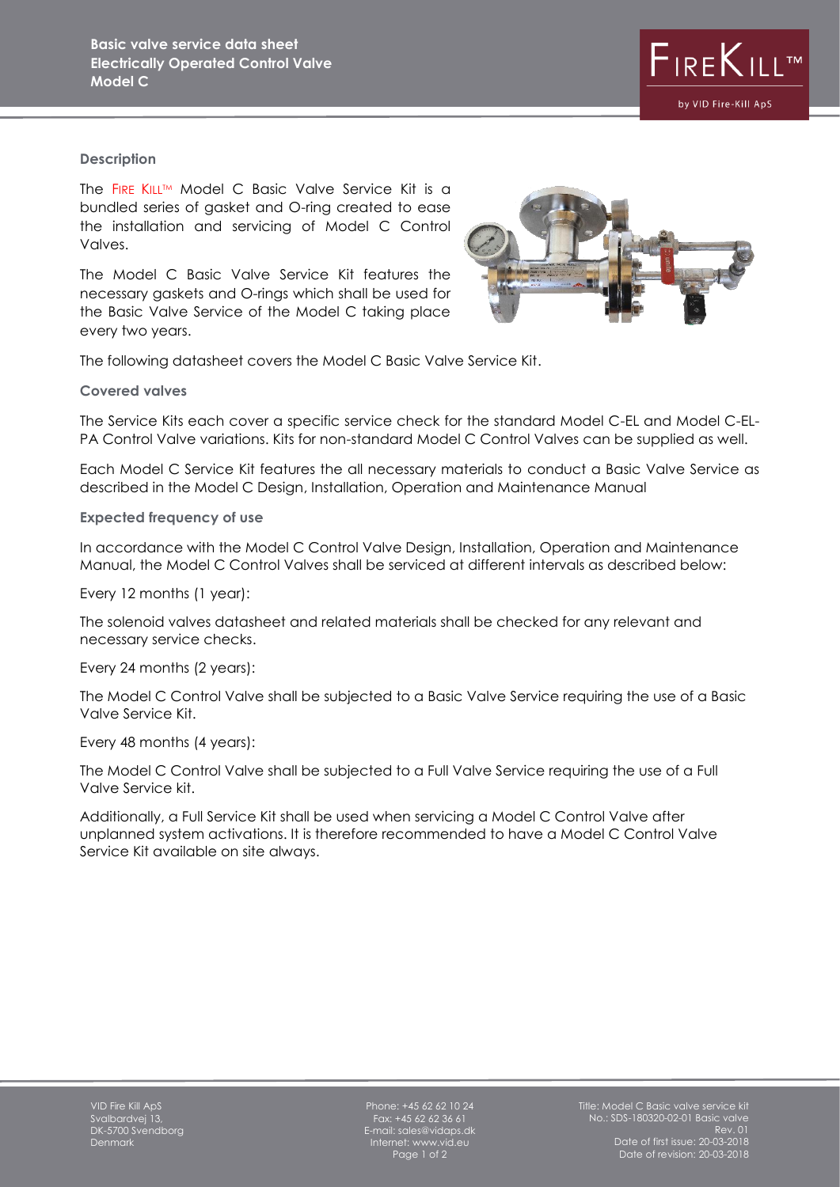

## **Description**

The FIRE KILL™ Model C Basic Valve Service Kit is a bundled series of gasket and O-ring created to ease the installation and servicing of Model C Control Valves.

The Model C Basic Valve Service Kit features the necessary gaskets and O-rings which shall be used for the Basic Valve Service of the Model C taking place every two years.



The following datasheet covers the Model C Basic Valve Service Kit.

## **Covered valves**

The Service Kits each cover a specific service check for the standard Model C-EL and Model C-EL-PA Control Valve variations. Kits for non-standard Model C Control Valves can be supplied as well.

Each Model C Service Kit features the all necessary materials to conduct a Basic Valve Service as described in the Model C Design, Installation, Operation and Maintenance Manual

**Expected frequency of use**

In accordance with the Model C Control Valve Design, Installation, Operation and Maintenance Manual, the Model C Control Valves shall be serviced at different intervals as described below:

Every 12 months (1 year):

The solenoid valves datasheet and related materials shall be checked for any relevant and necessary service checks.

Every 24 months (2 years):

The Model C Control Valve shall be subjected to a Basic Valve Service requiring the use of a Basic Valve Service Kit.

Every 48 months (4 years):

The Model C Control Valve shall be subjected to a Full Valve Service requiring the use of a Full Valve Service kit.

Additionally, a Full Service Kit shall be used when servicing a Model C Control Valve after unplanned system activations. It is therefore recommended to have a Model C Control Valve Service Kit available on site always.

Phone: +45 62 62 10 24 Fax: +45 62 62 36 61 E-mail: sales@vidaps.dk Internet: www.vid.eu Page 1 of 2